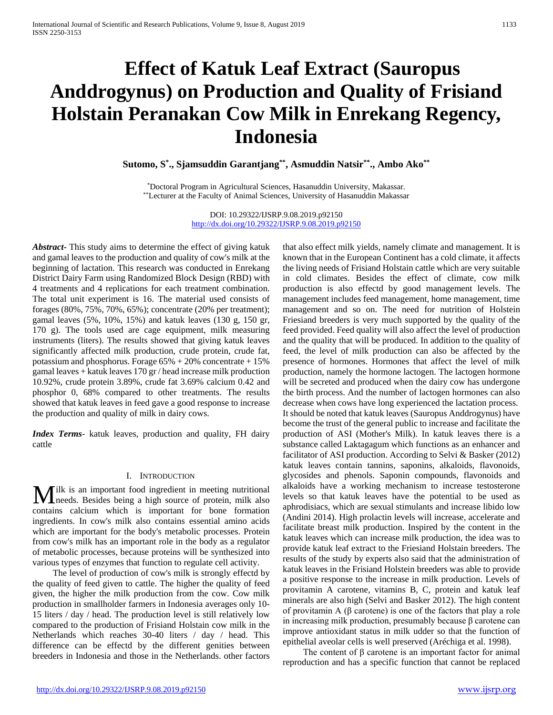# **Effect of Katuk Leaf Extract (Sauropus Anddrogynus) on Production and Quality of Frisiand Holstain Peranakan Cow Milk in Enrekang Regency, Indonesia**

**Sutomo, S\* ., Sjamsuddin Garantjang\*\*, Asmuddin Natsir\*\*., Ambo Ako\*\***

\*Doctoral Program in Agricultural Sciences, Hasanuddin University, Makassar. \*\*Lecturer at the Faculty of Animal Sciences, University of Hasanuddin Makassar

> DOI: 10.29322/IJSRP.9.08.2019.p92150 <http://dx.doi.org/10.29322/IJSRP.9.08.2019.p92150>

*Abstract***-** This study aims to determine the effect of giving katuk and gamal leaves to the production and quality of cow's milk at the beginning of lactation. This research was conducted in Enrekang District Dairy Farm using Randomized Block Design (RBD) with 4 treatments and 4 replications for each treatment combination. The total unit experiment is 16. The material used consists of forages (80%, 75%, 70%, 65%); concentrate (20% per treatment); gamal leaves (5%, 10%, 15%) and katuk leaves (130 g, 150 gr, 170 g). The tools used are cage equipment, milk measuring instruments (liters). The results showed that giving katuk leaves significantly affected milk production, crude protein, crude fat, potassium and phosphorus. Forage 65% + 20% concentrate + 15% gamal leaves + katuk leaves 170 gr / head increase milk production 10.92%, crude protein 3.89%, crude fat 3.69% calcium 0.42 and phosphor 0, 68% compared to other treatments. The results showed that katuk leaves in feed gave a good response to increase the production and quality of milk in dairy cows.

*Index Terms*- katuk leaves, production and quality, FH dairy cattle

#### I. INTRODUCTION

Ilk is an important food ingredient in meeting nutritional **L**needs. Besides being a high source of protein, milk also **M** ilk is an important food ingredient in meeting nutritional needs. Besides being a high source of protein, milk also contains calcium which is important for bone formation ingredients. In cow's milk also contains essential amino acids which are important for the body's metabolic processes. Protein from cow's milk has an important role in the body as a regulator of metabolic processes, because proteins will be synthesized into various types of enzymes that function to regulate cell activity.

 The level of production of cow's milk is strongly effectd by the quality of feed given to cattle. The higher the quality of feed given, the higher the milk production from the cow. Cow milk production in smallholder farmers in Indonesia averages only 10- 15 liters / day / head. The production level is still relatively low compared to the production of Frisiand Holstain cow milk in the Netherlands which reaches 30-40 liters / day / head. This difference can be effectd by the different genities between breeders in Indonesia and those in the Netherlands. other factors

that also effect milk yields, namely climate and management. It is known that in the European Continent has a cold climate, it affects the living needs of Frisiand Holstain cattle which are very suitable in cold climates. Besides the effect of climate, cow milk production is also effectd by good management levels. The management includes feed management, home management, time management and so on. The need for nutrition of Holstein Friesiand breeders is very much supported by the quality of the feed provided. Feed quality will also affect the level of production and the quality that will be produced. In addition to the quality of feed, the level of milk production can also be affected by the presence of hormones. Hormones that affect the level of milk production, namely the hormone lactogen. The lactogen hormone will be secreted and produced when the dairy cow has undergone the birth process. And the number of lactogen hormones can also decrease when cows have long experienced the lactation process. It should be noted that katuk leaves (Sauropus Anddrogynus) have become the trust of the general public to increase and facilitate the production of ASI (Mother's Milk). In katuk leaves there is a substance called Laktagagum which functions as an enhancer and facilitator of ASI production. According to Selvi & Basker (2012) katuk leaves contain tannins, saponins, alkaloids, flavonoids, glycosides and phenols. Saponin compounds, flavonoids and alkaloids have a working mechanism to increase testosterone levels so that katuk leaves have the potential to be used as aphrodisiacs, which are sexual stimulants and increase libido low (Andini 2014). High prolactin levels will increase, accelerate and facilitate breast milk production. Inspired by the content in the katuk leaves which can increase milk production, the idea was to provide katuk leaf extract to the Friesiand Holstain breeders. The results of the study by experts also said that the administration of katuk leaves in the Frisiand Holstein breeders was able to provide a positive response to the increase in milk production. Levels of provitamin A carotene, vitamins B, C, protein and katuk leaf minerals are also high (Selvi and Basker 2012). The high content of provitamin A (β carotene) is one of the factors that play a role in increasing milk production, presumably because β carotene can improve antioxidant status in milk udder so that the function of epithelial aveolar cells is well preserved (Aréchiga et al. 1998).

The content of  $\beta$  carotene is an important factor for animal reproduction and has a specific function that cannot be replaced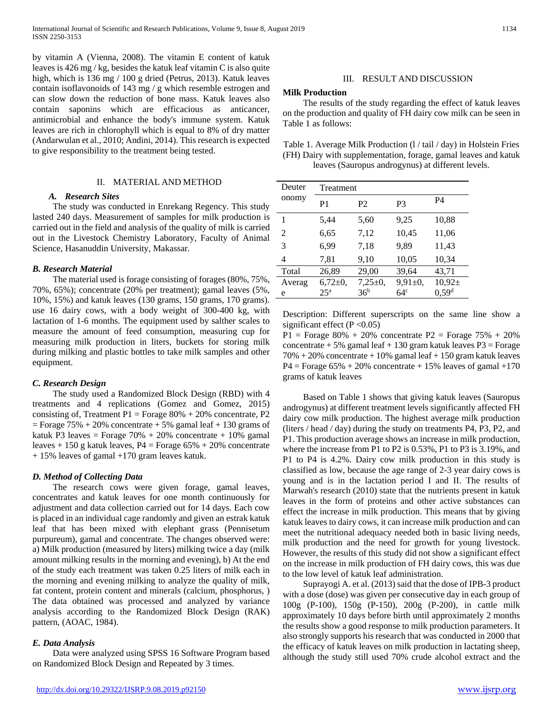by vitamin A (Vienna, 2008). The vitamin E content of katuk leaves is 426 mg / kg, besides the katuk leaf vitamin C is also quite high, which is 136 mg / 100 g dried (Petrus, 2013). Katuk leaves contain isoflavonoids of 143 mg / g which resemble estrogen and can slow down the reduction of bone mass. Katuk leaves also contain saponins which are efficacious as anticancer, antimicrobial and enhance the body's immune system. Katuk leaves are rich in chlorophyll which is equal to 8% of dry matter (Andarwulan et al., 2010; Andini, 2014). This research is expected to give responsibility to the treatment being tested.

## II. MATERIAL AND METHOD

# *A. Research Sites*

 The study was conducted in Enrekang Regency. This study lasted 240 days. Measurement of samples for milk production is carried out in the field and analysis of the quality of milk is carried out in the Livestock Chemistry Laboratory, Faculty of Animal Science, Hasanuddin University, Makassar.

### *B. Research Material*

 The material used is forage consisting of forages (80%, 75%, 70%, 65%); concentrate (20% per treatment); gamal leaves (5%, 10%, 15%) and katuk leaves (130 grams, 150 grams, 170 grams). use 16 dairy cows, with a body weight of 300-400 kg, with lactation of 1-6 months. The equipment used by salther scales to measure the amount of feed consumption, measuring cup for measuring milk production in liters, buckets for storing milk during milking and plastic bottles to take milk samples and other equipment.

# *C. Research Design*

 The study used a Randomized Block Design (RBD) with 4 treatments and 4 replications (Gomez and Gomez, 2015) consisting of, Treatment P1 = Forage  $80\% + 20\%$  concentrate, P2  $=$  Forage 75% + 20% concentrate + 5% gamal leaf + 130 grams of katuk P3 leaves = Forage  $70\% + 20\%$  concentrate + 10% gamal leaves + 150 g katuk leaves,  $P4 =$ Forage 65% + 20% concentrate + 15% leaves of gamal +170 gram leaves katuk.

#### *D. Method of Collecting Data*

 The research cows were given forage, gamal leaves, concentrates and katuk leaves for one month continuously for adjustment and data collection carried out for 14 days. Each cow is placed in an individual cage randomly and given an estrak katuk leaf that has been mixed with elephant grass (Pennisetum purpureum), gamal and concentrate. The changes observed were: a) Milk production (measured by liters) milking twice a day (milk amount milking results in the morning and evening), b) At the end of the study each treatment was taken 0.25 liters of milk each in the morning and evening milking to analyze the quality of milk, fat content, protein content and minerals (calcium, phosphorus, ) The data obtained was processed and analyzed by variance analysis according to the Randomized Block Design (RAK) pattern, (AOAC, 1984).

# *E. Data Analysis*

 Data were analyzed using SPSS 16 Software Program based on Randomized Block Design and Repeated by 3 times.

### **Milk Production**

 The results of the study regarding the effect of katuk leaves on the production and quality of FH dairy cow milk can be seen in Table 1 as follows:

Table 1. Average Milk Production (l / tail / day) in Holstein Fries (FH) Dairy with supplementation, forage, gamal leaves and katuk leaves (Sauropus androgynus) at different levels.

| Deuter | Treatment       |                 |                 |                   |  |  |
|--------|-----------------|-----------------|-----------------|-------------------|--|--|
| onomy  | P1              | P <sub>2</sub>  | P3              | <b>P4</b>         |  |  |
| 1      | 5,44            | 5,60            | 9,25            | 10,88             |  |  |
| 2      | 6,65            | 7,12            | 10,45           | 11,06             |  |  |
| 3      | 6.99            | 7,18            | 9,89            | 11,43             |  |  |
| 4      | 7,81            | 9,10            | 10,05           | 10,34             |  |  |
| Total  | 26,89           | 29,00           | 39,64           | 43,71             |  |  |
| Averag | $6,72\pm0,$     | $7,25+0,$       | $9,91\pm0,$     | $10,92 \pm$       |  |  |
| e      | 25 <sup>a</sup> | 36 <sup>b</sup> | 64 <sup>c</sup> | 0,59 <sup>d</sup> |  |  |

Description: Different superscripts on the same line show a significant effect  $(P < 0.05)$ 

P1 = Forage  $80\% + 20\%$  concentrate P2 = Forage 75% + 20% concentrate  $+ 5\%$  gamal leaf  $+ 130$  gram katuk leaves P3 = Forage  $70\% + 20\%$  concentrate  $+ 10\%$  gamal leaf  $+ 150$  gram katuk leaves  $P4 =$  Forage 65% + 20% concentrate + 15% leaves of gamal +170 grams of katuk leaves

 Based on Table 1 shows that giving katuk leaves (Sauropus androgynus) at different treatment levels significantly affected FH dairy cow milk production. The highest average milk production (liters / head / day) during the study on treatments P4, P3, P2, and P1. This production average shows an increase in milk production, where the increase from P1 to P2 is 0.53%, P1 to P3 is 3.19%, and P1 to P4 is 4.2%. Dairy cow milk production in this study is classified as low, because the age range of 2-3 year dairy cows is young and is in the lactation period I and II. The results of Marwah's research (2010) state that the nutrients present in katuk leaves in the form of proteins and other active substances can effect the increase in milk production. This means that by giving katuk leaves to dairy cows, it can increase milk production and can meet the nutritional adequacy needed both in basic living needs, milk production and the need for growth for young livestock. However, the results of this study did not show a significant effect on the increase in milk production of FH dairy cows, this was due to the low level of katuk leaf administration.

 Suprayogi A. et al. (2013) said that the dose of IPB-3 product with a dose (dose) was given per consecutive day in each group of 100g (P-100), 150g (P-150), 200g (P-200), in cattle milk approximately 10 days before birth until approximately 2 months the results show a good response to milk production parameters. It also strongly supports his research that was conducted in 2000 that the efficacy of katuk leaves on milk production in lactating sheep, although the study still used 70% crude alcohol extract and the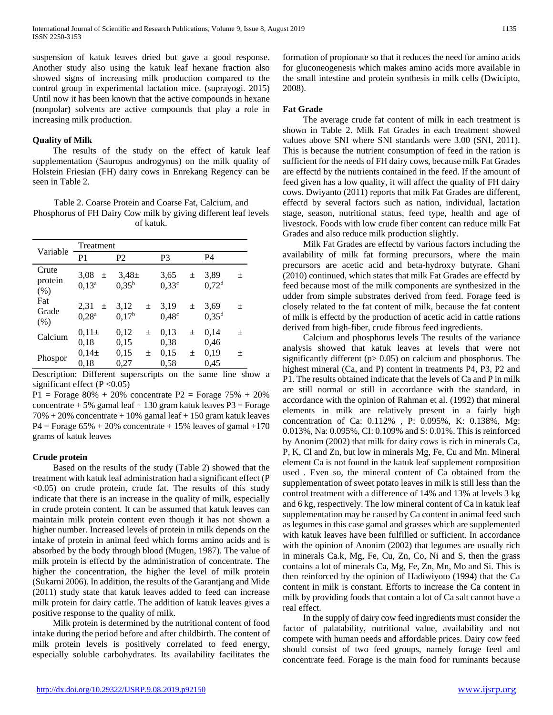suspension of katuk leaves dried but gave a good response. Another study also using the katuk leaf hexane fraction also showed signs of increasing milk production compared to the control group in experimental lactation mice. (suprayogi. 2015) Until now it has been known that the active compounds in hexane (nonpolar) solvents are active compounds that play a role in increasing milk production.

## **Quality of Milk**

 The results of the study on the effect of katuk leaf supplementation (Sauropus androgynus) on the milk quality of Holstein Friesian (FH) dairy cows in Enrekang Regency can be seen in Table 2.

Table 2. Coarse Protein and Coarse Fat, Calcium, and Phosphorus of FH Dairy Cow milk by giving different leaf levels of katuk.

| Variable                 | Treatment                          |                           |       |                           |       |                           |   |  |
|--------------------------|------------------------------------|---------------------------|-------|---------------------------|-------|---------------------------|---|--|
|                          | P1                                 | P <sub>2</sub>            |       | P <sub>3</sub>            |       | <b>P4</b>                 |   |  |
| Crute<br>protein<br>(% ) | 3,08<br>$\pm$<br>$0,13^a$          | $3.48 \pm$<br>$0.35^{b}$  |       | 3,65<br>0,33c             | $\pm$ | 3.89<br>0.72 <sup>d</sup> | 土 |  |
| Fat<br>Grade<br>(% )     | 2,31<br>$\pm$<br>0.28 <sup>a</sup> | 3,12<br>0,17 <sup>b</sup> | $\pm$ | 3,19<br>0.48 <sup>c</sup> | $\pm$ | 3.69<br>0.35 <sup>d</sup> | 土 |  |
| Calcium                  | $0.11\pm$<br>0.18                  | 0,12<br>0,15              | $\pm$ | 0,13<br>0,38              | $\pm$ | 0,14<br>0.46              | 土 |  |
| Phospor                  | $0.14 \pm$<br>0.18                 | 0,15<br>0,27              | 土     | 0.15<br>0,58              | 土     | 0,19<br>0.45              | 土 |  |

Description: Different superscripts on the same line show a significant effect ( $P < 0.05$ )

 $P1 =$  Forage 80% + 20% concentrate  $P2 =$  Forage 75% + 20% concentrate  $+ 5\%$  gamal leaf  $+ 130$  gram katuk leaves P3 = Forage  $70\% + 20\%$  concentrate  $+ 10\%$  gamal leaf  $+ 150$  gram katuk leaves  $P4 =$ Forage 65% + 20% concentrate + 15% leaves of gamal +170 grams of katuk leaves

#### **Crude protein**

 Based on the results of the study (Table 2) showed that the treatment with katuk leaf administration had a significant effect (P  $\langle 0.05 \rangle$  on crude protein, crude fat. The results of this study indicate that there is an increase in the quality of milk, especially in crude protein content. It can be assumed that katuk leaves can maintain milk protein content even though it has not shown a higher number. Increased levels of protein in milk depends on the intake of protein in animal feed which forms amino acids and is absorbed by the body through blood (Mugen, 1987). The value of milk protein is effectd by the administration of concentrate. The higher the concentration, the higher the level of milk protein (Sukarni 2006). In addition, the results of the Garantjang and Mide (2011) study state that katuk leaves added to feed can increase milk protein for dairy cattle. The addition of katuk leaves gives a positive response to the quality of milk.

 Milk protein is determined by the nutritional content of food intake during the period before and after childbirth. The content of milk protein levels is positively correlated to feed energy, especially soluble carbohydrates. Its availability facilitates the

formation of propionate so that it reduces the need for amino acids for gluconeogenesis which makes amino acids more available in the small intestine and protein synthesis in milk cells (Dwicipto, 2008).

### **Fat Grade**

 The average crude fat content of milk in each treatment is shown in Table 2. Milk Fat Grades in each treatment showed values above SNI where SNI standards were 3.00 (SNI, 2011). This is because the nutrient consumption of feed in the ration is sufficient for the needs of FH dairy cows, because milk Fat Grades are effectd by the nutrients contained in the feed. If the amount of feed given has a low quality, it will affect the quality of FH dairy cows. Dwiyanto (2011) reports that milk Fat Grades are different, effectd by several factors such as nation, individual, lactation stage, season, nutritional status, feed type, health and age of livestock. Foods with low crude fiber content can reduce milk Fat Grades and also reduce milk production slightly.

 Milk Fat Grades are effectd by various factors including the availability of milk fat forming precursors, where the main precursors are acetic acid and beta-hydroxy butyrate. Ghani (2010) continued, which states that milk Fat Grades are effectd by feed because most of the milk components are synthesized in the udder from simple substrates derived from feed. Forage feed is closely related to the fat content of milk, because the fat content of milk is effectd by the production of acetic acid in cattle rations derived from high-fiber, crude fibrous feed ingredients.

 Calcium and phosphorus levels The results of the variance analysis showed that katuk leaves at levels that were not significantly different ( $p$  > 0.05) on calcium and phosphorus. The highest mineral (Ca, and P) content in treatments P4, P3, P2 and P1. The results obtained indicate that the levels of Ca and P in milk are still normal or still in accordance with the standard, in accordance with the opinion of Rahman et al. (1992) that mineral elements in milk are relatively present in a fairly high concentration of Ca: 0.112% , P: 0.095%, K: 0.138%, Mg: 0.013%, Na: 0.095%, CI: 0.109% and S: 0.01%. This is reinforced by Anonim (2002) that milk for dairy cows is rich in minerals Ca, P, K, Cl and Zn, but low in minerals Mg, Fe, Cu and Mn. Mineral element Ca is not found in the katuk leaf supplement composition used . Even so, the mineral content of Ca obtained from the supplementation of sweet potato leaves in milk is still less than the control treatment with a difference of 14% and 13% at levels 3 kg and 6 kg, respectively. The low mineral content of Ca in katuk leaf supplementation may be caused by Ca content in animal feed such as legumes in this case gamal and grasses which are supplemented with katuk leaves have been fulfilled or sufficient. In accordance with the opinion of Anonim (2002) that legumes are usually rich in minerals Ca.k, Mg, Fe, Cu, Zn, Co, Ni and S, then the grass contains a lot of minerals Ca, Mg, Fe, Zn, Mn, Mo and Si. This is then reinforced by the opinion of Hadiwiyoto (1994) that the Ca content in milk is constant. Efforts to increase the Ca content in milk by providing foods that contain a lot of Ca salt cannot have a real effect.

 In the supply of dairy cow feed ingredients must consider the factor of palatability, nutritional value, availability and not compete with human needs and affordable prices. Dairy cow feed should consist of two feed groups, namely forage feed and concentrate feed. Forage is the main food for ruminants because